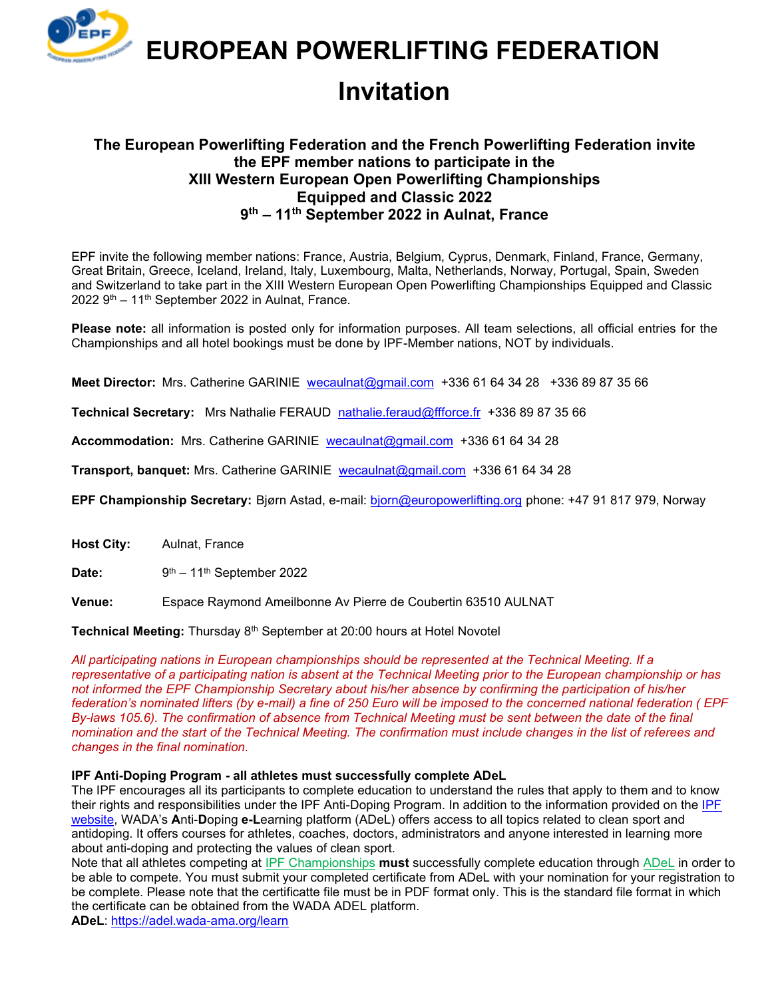

 **EUROPEAN POWERLIFTING FEDERATION**

# **Invitation**

### **The European Powerlifting Federation and the French Powerlifting Federation invite the EPF member nations to participate in the XIII Western European Open Powerlifting Championships Equipped and Classic 2022 9 th – 11th September 2022 in Aulnat, France**

EPF invite the following member nations: France, Austria, Belgium, Cyprus, Denmark, Finland, France, Germany, Great Britain, Greece, Iceland, Ireland, Italy, Luxembourg, Malta, Netherlands, Norway, Portugal, Spain, Sweden and Switzerland to take part in the XIII Western European Open Powerlifting Championships Equipped and Classic 2022 9<sup>th</sup> – 11<sup>th</sup> September 2022 in Aulnat, France.

**Please note:** all information is posted only for information purposes. All team selections, all official entries for the Championships and all hotel bookings must be done by IPF-Member nations, NOT by individuals.

**Meet Director:** Mrs. Catherine GARINIE [wecaulnat@gmail.com](mailto:wecaulnat@gmail.com) +336 61 64 34 28 +336 89 87 35 66

**Technical Secretary:** Mrs Nathalie FERAUD [nathalie.feraud@ffforce.fr](mailto:nathalie.feraud@ffforce.fr) +336 89 87 35 66

**Accommodation:** Mrs. Catherine GARINIE [wecaulnat@gmail.com](mailto:wecaulnat@gmail.com) +336 61 64 34 28

**Transport, banquet:** Mrs. Catherine GARINIE [wecaulnat@gmail.com](mailto:wecaulnat@gmail.com) +336 61 64 34 28

**EPF Championship Secretary:** Bjørn Astad, e-mail: [bjorn@europowerlifting.org](mailto:bjorn@europowerlifting.org) phone: +47 91 817 979, Norway

**Host City:** Aulnat, France

Date:  $9<sup>th</sup> - 11<sup>th</sup>$  September 2022

**Venue:** Espace Raymond Ameilbonne Av Pierre de Coubertin 63510 AULNAT

**Technical Meeting:** Thursday 8th September at 20:00 hours at Hotel Novotel

*All participating nations in European championships should be represented at the Technical Meeting. If a representative of a participating nation is absent at the Technical Meeting prior to the European championship or has not informed the EPF Championship Secretary about his/her absence by confirming the participation of his/her federation's nominated lifters (by e-mail) a fine of 250 Euro will be imposed to the concerned national federation ( EPF By-laws 105.6). The confirmation of absence from Technical Meeting must be sent between the date of the final nomination and the start of the Technical Meeting. The confirmation must include changes in the list of referees and changes in the final nomination.*

#### **IPF Anti-Doping Program - all athletes must successfully complete ADeL**

The IPF encourages all its participants to complete education to understand the rules that apply to them and to know their rights and responsibilities under the IPF Anti-Doping Program. In addition to the information provided on the [IPF](https://www.powerlifting.sport/anti-doping/education) [website](https://www.powerlifting.sport/anti-doping/education), WADA's **A**nti-**D**oping **e-L**earning platform (ADeL) offers access to all topics related to clean sport and antidoping. It offers courses for athletes, coaches, doctors, administrators and anyone interested in learning more about anti-doping and protecting the values of clean sport.

Note that all athletes competing at [IPF Championships](https://www.powerlifting.sport/championships/calendar) **must** successfully complete education through [ADeL](https://adel.wada-ama.org/en) in order to be able to compete. You must submit your completed certificate from ADeL with your nomination for your registration to be complete. Please note that the certificatte file must be in PDF format only. This is the standard file format in which the certificate can be obtained from the WADA ADEL platform.

**ADeL**:<https://adel.wada-ama.org/learn>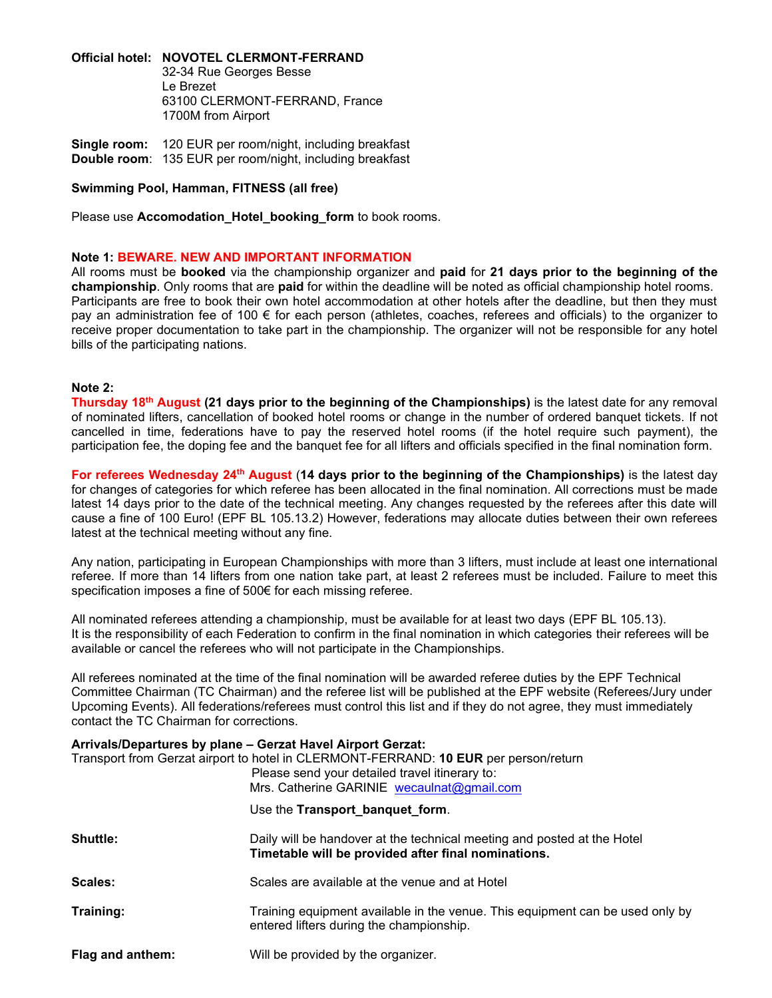**Official hotel: NOVOTEL CLERMONT-FERRAND**

32-34 Rue Georges Besse Le Brezet 63100 CLERMONT-FERRAND, France 1700M from Airport

**Single room:** 120 EUR per room/night, including breakfast **Double room**: 135 EUR per room/night, including breakfast

**Swimming Pool, Hamman, FITNESS (all free)**

Please use **Accomodation Hotel booking form** to book rooms.

#### **Note 1: BEWARE. NEW AND IMPORTANT INFORMATION**

All rooms must be **booked** via the championship organizer and **paid** for **21 days prior to the beginning of the championship**. Only rooms that are **paid** for within the deadline will be noted as official championship hotel rooms. Participants are free to book their own hotel accommodation at other hotels after the deadline, but then they must pay an administration fee of 100 € for each person (athletes, coaches, referees and officials) to the organizer to receive proper documentation to take part in the championship. The organizer will not be responsible for any hotel bills of the participating nations.

#### **Note 2:**

**Thursday 18<sup>th</sup> August (21 days prior to the beginning of the Championships) is the latest date for any removal** of nominated lifters, cancellation of booked hotel rooms or change in the number of ordered banquet tickets. If not cancelled in time, federations have to pay the reserved hotel rooms (if the hotel require such payment), the participation fee, the doping fee and the banquet fee for all lifters and officials specified in the final nomination form.

**For referees Wednesday 24 th August** (**14 days prior to the beginning of the Championships)** is the latest day for changes of categories for which referee has been allocated in the final nomination. All corrections must be made latest 14 days prior to the date of the technical meeting. Any changes requested by the referees after this date will cause a fine of 100 Euro! (EPF BL 105.13.2) However, federations may allocate duties between their own referees latest at the technical meeting without any fine.

Any nation, participating in European Championships with more than 3 lifters, must include at least one international referee. If more than 14 lifters from one nation take part, at least 2 referees must be included. Failure to meet this specification imposes a fine of 500€ for each missing referee.

All nominated referees attending a championship, must be available for at least two days (EPF BL 105.13). It is the responsibility of each Federation to confirm in the final nomination in which categories their referees will be available or cancel the referees who will not participate in the Championships.

All referees nominated at the time of the final nomination will be awarded referee duties by the EPF Technical Committee Chairman (TC Chairman) and the referee list will be published at the EPF website (Referees/Jury under Upcoming Events). All federations/referees must control this list and if they do not agree, they must immediately contact the TC Chairman for corrections.

|                  | Arrivals/Departures by plane - Gerzat Havel Airport Gerzat:                                                                                                                          |
|------------------|--------------------------------------------------------------------------------------------------------------------------------------------------------------------------------------|
|                  | Transport from Gerzat airport to hotel in CLERMONT-FERRAND: 10 EUR per person/return<br>Please send your detailed travel itinerary to:<br>Mrs. Catherine GARINIE wecaulnat@gmail.com |
|                  | Use the Transport_banquet_form.                                                                                                                                                      |
| <b>Shuttle:</b>  | Daily will be handover at the technical meeting and posted at the Hotel<br>Timetable will be provided after final nominations.                                                       |
| Scales:          | Scales are available at the venue and at Hotel                                                                                                                                       |
| Training:        | Training equipment available in the venue. This equipment can be used only by<br>entered lifters during the championship.                                                            |
| Flag and anthem: | Will be provided by the organizer.                                                                                                                                                   |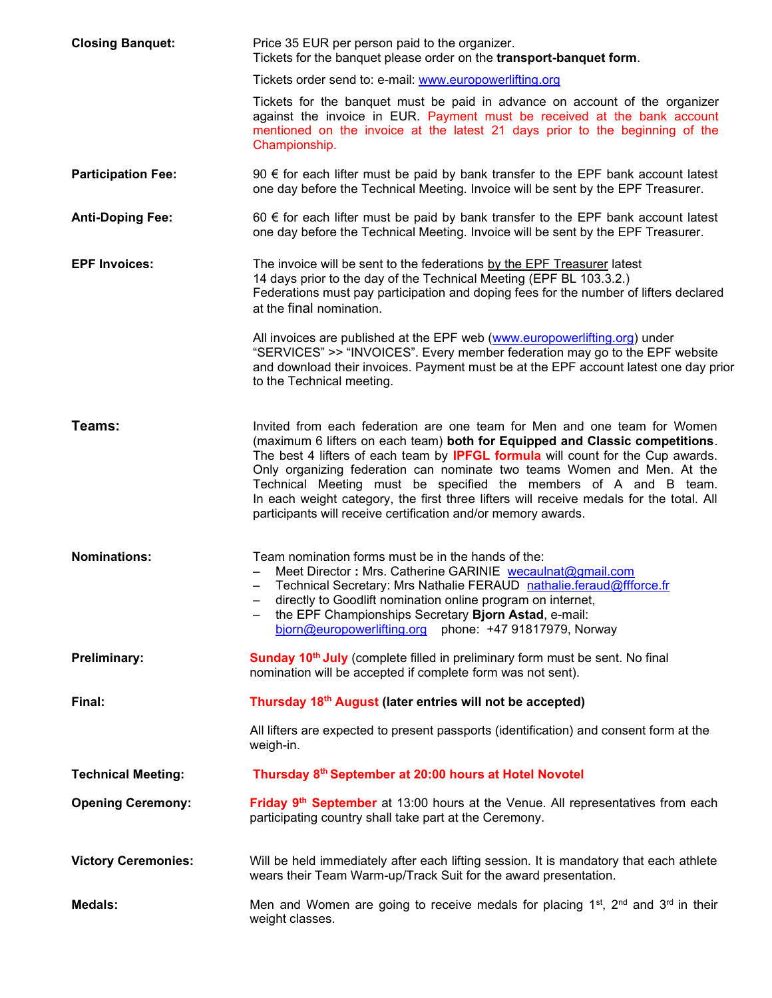| <b>Closing Banquet:</b>    | Price 35 EUR per person paid to the organizer.<br>Tickets for the banquet please order on the transport-banquet form.                                                                                                                                                                                                                                                                                                                                                                                                                                         |  |  |  |
|----------------------------|---------------------------------------------------------------------------------------------------------------------------------------------------------------------------------------------------------------------------------------------------------------------------------------------------------------------------------------------------------------------------------------------------------------------------------------------------------------------------------------------------------------------------------------------------------------|--|--|--|
|                            | Tickets order send to: e-mail: www.europowerlifting.org                                                                                                                                                                                                                                                                                                                                                                                                                                                                                                       |  |  |  |
|                            | Tickets for the banquet must be paid in advance on account of the organizer<br>against the invoice in EUR. Payment must be received at the bank account<br>mentioned on the invoice at the latest 21 days prior to the beginning of the<br>Championship.                                                                                                                                                                                                                                                                                                      |  |  |  |
| <b>Participation Fee:</b>  | 90 € for each lifter must be paid by bank transfer to the EPF bank account latest<br>one day before the Technical Meeting. Invoice will be sent by the EPF Treasurer.                                                                                                                                                                                                                                                                                                                                                                                         |  |  |  |
| <b>Anti-Doping Fee:</b>    | 60 € for each lifter must be paid by bank transfer to the EPF bank account latest<br>one day before the Technical Meeting. Invoice will be sent by the EPF Treasurer.                                                                                                                                                                                                                                                                                                                                                                                         |  |  |  |
| <b>EPF Invoices:</b>       | The invoice will be sent to the federations by the EPF Treasurer latest<br>14 days prior to the day of the Technical Meeting (EPF BL 103.3.2.)<br>Federations must pay participation and doping fees for the number of lifters declared<br>at the final nomination.                                                                                                                                                                                                                                                                                           |  |  |  |
|                            | All invoices are published at the EPF web (www.europowerlifting.org) under<br>"SERVICES" >> "INVOICES". Every member federation may go to the EPF website<br>and download their invoices. Payment must be at the EPF account latest one day prior<br>to the Technical meeting.                                                                                                                                                                                                                                                                                |  |  |  |
| Teams:                     | Invited from each federation are one team for Men and one team for Women<br>(maximum 6 lifters on each team) both for Equipped and Classic competitions.<br>The best 4 lifters of each team by <b>IPFGL formula</b> will count for the Cup awards.<br>Only organizing federation can nominate two teams Women and Men. At the<br>Technical Meeting must be specified the members of A and B team.<br>In each weight category, the first three lifters will receive medals for the total. All<br>participants will receive certification and/or memory awards. |  |  |  |
| <b>Nominations:</b>        | Team nomination forms must be in the hands of the:<br>Meet Director: Mrs. Catherine GARINIE wecaulnat@gmail.com<br>Technical Secretary: Mrs Nathalie FERAUD nathalie.feraud@ffforce.fr<br>directly to Goodlift nomination online program on internet,<br>the EPF Championships Secretary Bjorn Astad, e-mail:<br>bjorn@europowerlifting.org phone: +47 91817979, Norway                                                                                                                                                                                       |  |  |  |
| <b>Preliminary:</b>        | Sunday 10 <sup>th</sup> July (complete filled in preliminary form must be sent. No final<br>nomination will be accepted if complete form was not sent).                                                                                                                                                                                                                                                                                                                                                                                                       |  |  |  |
| Final:                     | Thursday 18th August (later entries will not be accepted)                                                                                                                                                                                                                                                                                                                                                                                                                                                                                                     |  |  |  |
|                            | All lifters are expected to present passports (identification) and consent form at the<br>weigh-in.                                                                                                                                                                                                                                                                                                                                                                                                                                                           |  |  |  |
| <b>Technical Meeting:</b>  | Thursday 8th September at 20:00 hours at Hotel Novotel                                                                                                                                                                                                                                                                                                                                                                                                                                                                                                        |  |  |  |
| <b>Opening Ceremony:</b>   | Friday 9 <sup>th</sup> September at 13:00 hours at the Venue. All representatives from each<br>participating country shall take part at the Ceremony.                                                                                                                                                                                                                                                                                                                                                                                                         |  |  |  |
| <b>Victory Ceremonies:</b> | Will be held immediately after each lifting session. It is mandatory that each athlete<br>wears their Team Warm-up/Track Suit for the award presentation.                                                                                                                                                                                                                                                                                                                                                                                                     |  |  |  |
| <b>Medals:</b>             | Men and Women are going to receive medals for placing 1 <sup>st</sup> , 2 <sup>nd</sup> and 3 <sup>rd</sup> in their<br>weight classes.                                                                                                                                                                                                                                                                                                                                                                                                                       |  |  |  |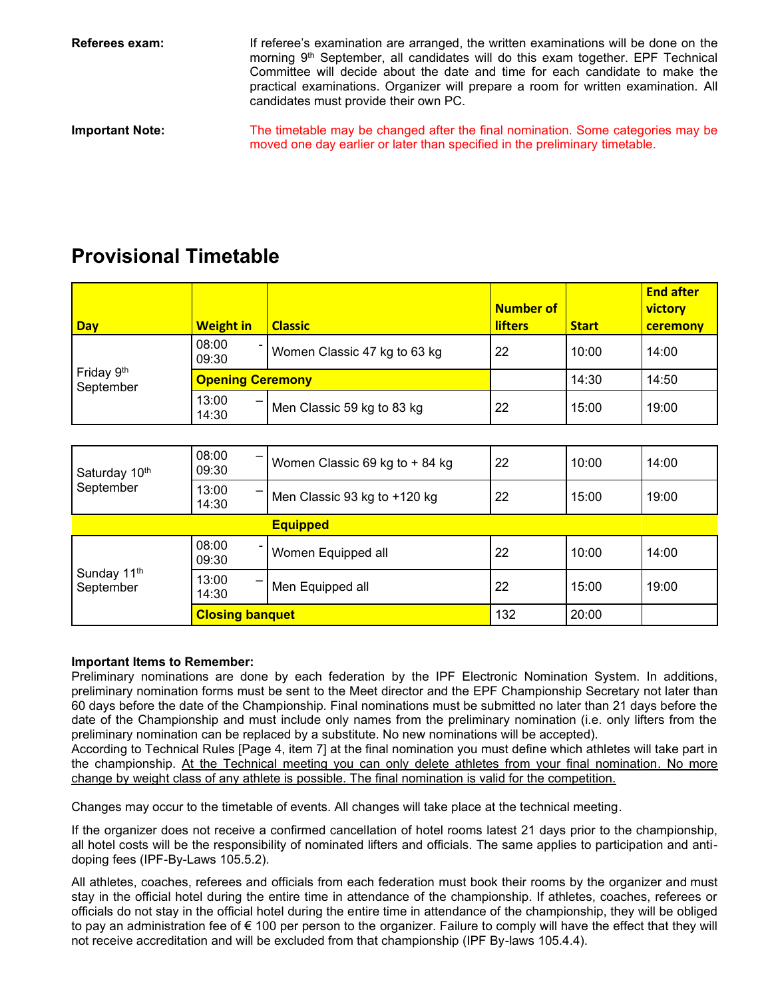**Referees exam:** If referee's examination are arranged, the written examinations will be done on the morning 9<sup>th</sup> September, all candidates will do this exam together. EPF Technical Committee will decide about the date and time for each candidate to make the practical examinations. Organizer will prepare a room for written examination. All candidates must provide their own PC.

**Important Note:** The timetable may be changed after the final nomination. Some categories may be moved one day earlier or later than specified in the preliminary timetable.

## **Provisional Timetable**

| <b>Day</b>              | <b>Weight in</b>        | <b>Classic</b>               | <b>Number of</b><br><b>lifters</b> | <b>Start</b> | <b>End after</b><br>victory<br>ceremony |
|-------------------------|-------------------------|------------------------------|------------------------------------|--------------|-----------------------------------------|
| Friday 9th<br>September | 08:00<br>09:30          | Women Classic 47 kg to 63 kg | 22                                 | 10:00        | 14:00                                   |
|                         | <b>Opening Ceremony</b> |                              |                                    | 14:30        | 14:50                                   |
|                         | 13:00<br>-<br>14:30     | Men Classic 59 kg to 83 kg   | 22                                 | 15:00        | 19:00                                   |

| Saturday 10th                        | 08:00<br>09:30         | Women Classic 69 kg to + 84 kg | 22  | 10:00 | 14:00 |  |  |  |
|--------------------------------------|------------------------|--------------------------------|-----|-------|-------|--|--|--|
| September                            | 13:00<br>14:30         | Men Classic 93 kg to +120 kg   | 22  | 15:00 | 19:00 |  |  |  |
| <b>Equipped</b>                      |                        |                                |     |       |       |  |  |  |
|                                      | 08:00<br>09:30         | Women Equipped all             | 22  | 10:00 | 14:00 |  |  |  |
| Sunday 11 <sup>th</sup><br>September | 13:00<br>14:30         | Men Equipped all               | 22  | 15:00 | 19:00 |  |  |  |
|                                      | <b>Closing banquet</b> |                                | 132 | 20:00 |       |  |  |  |

#### **Important Items to Remember:**

Preliminary nominations are done by each federation by the IPF Electronic Nomination System. In additions, preliminary nomination forms must be sent to the Meet director and the EPF Championship Secretary not later than 60 days before the date of the Championship. Final nominations must be submitted no later than 21 days before the date of the Championship and must include only names from the preliminary nomination (i.e. only lifters from the preliminary nomination can be replaced by a substitute. No new nominations will be accepted).

According to Technical Rules [Page 4, item 7] at the final nomination you must define which athletes will take part in the championship. At the Technical meeting you can only delete athletes from your final nomination. No more change by weight class of any athlete is possible. The final nomination is valid for the competition.

Changes may occur to the timetable of events. All changes will take place at the technical meeting.

If the organizer does not receive a confirmed cancellation of hotel rooms latest 21 days prior to the championship, all hotel costs will be the responsibility of nominated lifters and officials. The same applies to participation and antidoping fees (IPF-By-Laws 105.5.2).

All athletes, coaches, referees and officials from each federation must book their rooms by the organizer and must stay in the official hotel during the entire time in attendance of the championship. If athletes, coaches, referees or officials do not stay in the official hotel during the entire time in attendance of the championship, they will be obliged to pay an administration fee of € 100 per person to the organizer. Failure to comply will have the effect that they will not receive accreditation and will be excluded from that championship (IPF By-laws 105.4.4).